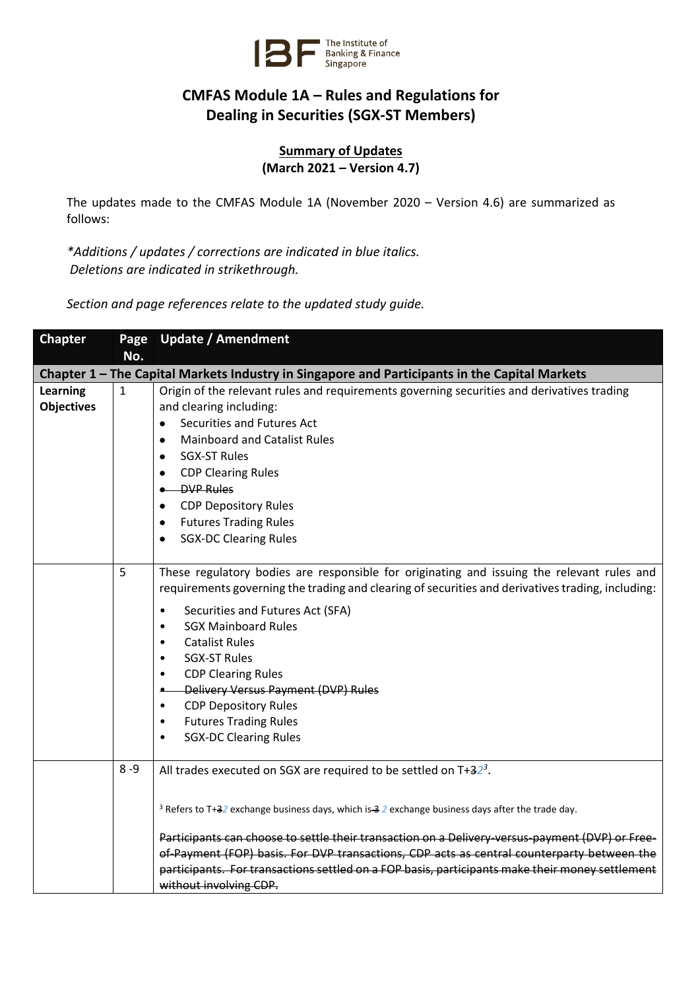

## **CMFAS Module 1A – Rules and Regulations for Dealing in Securities (SGX-ST Members)**

**Summary of Updates (March 2021 – Version 4.7)**

The updates made to the CMFAS Module 1A (November 2020 – Version 4.6) are summarized as follows:

*\*Additions / updates / corrections are indicated in blue italics. Deletions are indicated in strikethrough.*

*Section and page references relate to the updated study guide.*

| <b>Chapter</b>                       | Page         | <b>Update / Amendment</b>                                                                                                                                                                                                                                                                                                                                                                                                                                                                                                                                                                         |
|--------------------------------------|--------------|---------------------------------------------------------------------------------------------------------------------------------------------------------------------------------------------------------------------------------------------------------------------------------------------------------------------------------------------------------------------------------------------------------------------------------------------------------------------------------------------------------------------------------------------------------------------------------------------------|
|                                      | No.          |                                                                                                                                                                                                                                                                                                                                                                                                                                                                                                                                                                                                   |
|                                      |              | Chapter 1 – The Capital Markets Industry in Singapore and Participants in the Capital Markets                                                                                                                                                                                                                                                                                                                                                                                                                                                                                                     |
| <b>Learning</b><br><b>Objectives</b> | $\mathbf{1}$ | Origin of the relevant rules and requirements governing securities and derivatives trading<br>and clearing including:<br>Securities and Futures Act<br>$\bullet$<br><b>Mainboard and Catalist Rules</b><br>٠<br><b>SGX-ST Rules</b><br>٠<br><b>CDP Clearing Rules</b><br>$\bullet$<br><b>DVP Rules</b><br><b>CDP Depository Rules</b><br>$\bullet$<br><b>Futures Trading Rules</b><br>$\bullet$<br><b>SGX-DC Clearing Rules</b><br>$\bullet$                                                                                                                                                      |
|                                      | 5            | These regulatory bodies are responsible for originating and issuing the relevant rules and<br>requirements governing the trading and clearing of securities and derivatives trading, including:<br>Securities and Futures Act (SFA)<br>$\bullet$<br><b>SGX Mainboard Rules</b><br>$\bullet$<br><b>Catalist Rules</b><br>$\bullet$<br><b>SGX-ST Rules</b><br>$\bullet$<br><b>CDP Clearing Rules</b><br>$\bullet$<br>Delivery Versus Payment (DVP) Rules<br>۰<br><b>CDP Depository Rules</b><br>$\bullet$<br><b>Futures Trading Rules</b><br>$\bullet$<br><b>SGX-DC Clearing Rules</b><br>$\bullet$ |
|                                      | $8 - 9$      | All trades executed on SGX are required to be settled on $T+32^3$ .<br><sup>3</sup> Refers to T+32 exchange business days, which is-3 2 exchange business days after the trade day.<br>Participants can choose to settle their transaction on a Delivery-versus-payment (DVP) or Free-<br>of-Payment (FOP) basis. For DVP transactions, CDP acts as central counterparty between the<br>participants. For transactions settled on a FOP basis, participants make their money settlement<br>without involving CDP.                                                                                 |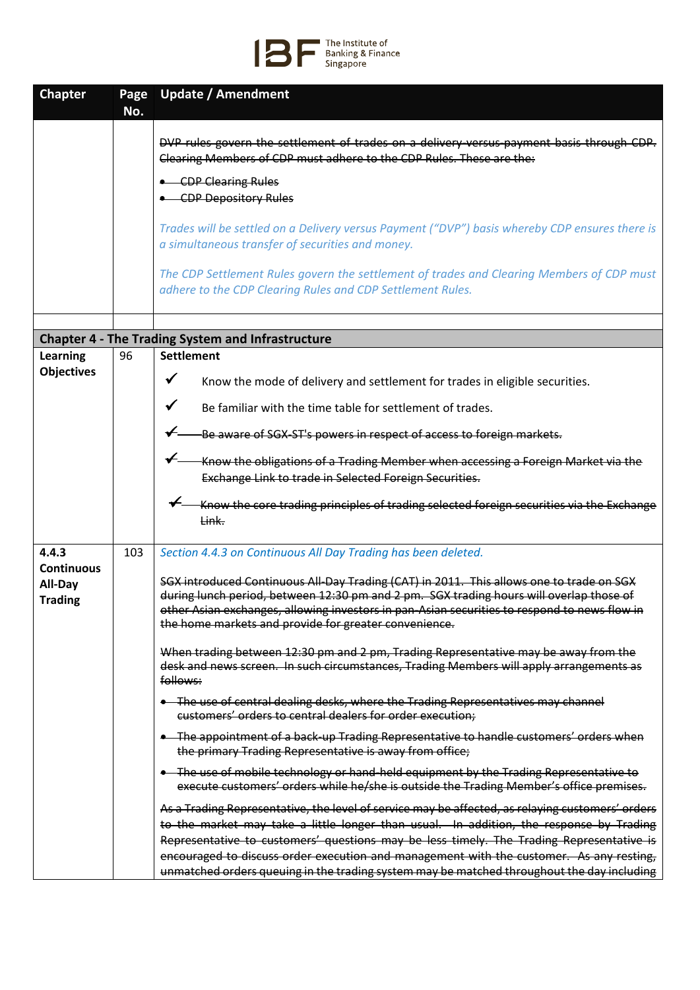

| <b>Chapter</b>                                 | Page<br>No. | <b>Update / Amendment</b>                                                                                                                                                                                                                                                                                                                                                                                                                                                                                                            |
|------------------------------------------------|-------------|--------------------------------------------------------------------------------------------------------------------------------------------------------------------------------------------------------------------------------------------------------------------------------------------------------------------------------------------------------------------------------------------------------------------------------------------------------------------------------------------------------------------------------------|
|                                                |             | DVP rules govern the settlement of trades on a delivery-versus-payment basis through CDP.<br>Clearing Members of CDP must adhere to the CDP Rules. These are the:<br>• CDP Clearing Rules<br>• CDP Depository Rules<br>Trades will be settled on a Delivery versus Payment ("DVP") basis whereby CDP ensures there is<br>a simultaneous transfer of securities and money.<br>The CDP Settlement Rules govern the settlement of trades and Clearing Members of CDP must<br>adhere to the CDP Clearing Rules and CDP Settlement Rules. |
|                                                |             |                                                                                                                                                                                                                                                                                                                                                                                                                                                                                                                                      |
|                                                |             | <b>Chapter 4 - The Trading System and Infrastructure</b>                                                                                                                                                                                                                                                                                                                                                                                                                                                                             |
| Learning                                       | 96          | <b>Settlement</b>                                                                                                                                                                                                                                                                                                                                                                                                                                                                                                                    |
| <b>Objectives</b>                              |             | $\checkmark$<br>Know the mode of delivery and settlement for trades in eligible securities.                                                                                                                                                                                                                                                                                                                                                                                                                                          |
|                                                |             | ✔<br>Be familiar with the time table for settlement of trades.                                                                                                                                                                                                                                                                                                                                                                                                                                                                       |
|                                                |             |                                                                                                                                                                                                                                                                                                                                                                                                                                                                                                                                      |
|                                                |             | -Be aware of SGX-ST's powers in respect of access to foreign markets.                                                                                                                                                                                                                                                                                                                                                                                                                                                                |
|                                                |             | Know the obligations of a Trading Member when accessing a Foreign Market via the                                                                                                                                                                                                                                                                                                                                                                                                                                                     |
|                                                |             | Exchange Link to trade in Selected Foreign Securities.                                                                                                                                                                                                                                                                                                                                                                                                                                                                               |
|                                                |             | Know the core trading principles of trading selected foreign securities via the Exchange<br><del>Link.</del>                                                                                                                                                                                                                                                                                                                                                                                                                         |
| 4.4.3                                          | 103         | Section 4.4.3 on Continuous All Day Trading has been deleted.                                                                                                                                                                                                                                                                                                                                                                                                                                                                        |
| <b>Continuous</b><br>All-Day<br><b>Trading</b> |             | SGX introduced Continuous All-Day Trading (CAT) in 2011. This allows one to trade on SGX<br>during lunch period, between 12:30 pm and 2 pm. SGX trading hours will overlap those of<br>other Asian exchanges, allowing investors in pan-Asian securities to respond to news flow in<br>the home markets and provide for greater convenience.                                                                                                                                                                                         |
|                                                |             | When trading between 12:30 pm and 2 pm, Trading Representative may be away from the<br>desk and news screen. In such circumstances, Trading Members will apply arrangements as<br>follows:                                                                                                                                                                                                                                                                                                                                           |
|                                                |             | • The use of central dealing desks, where the Trading Representatives may channel<br>customers' orders to central dealers for order execution;                                                                                                                                                                                                                                                                                                                                                                                       |
|                                                |             | • The appointment of a back-up Trading Representative to handle customers' orders when<br>the primary Trading Representative is away from office;                                                                                                                                                                                                                                                                                                                                                                                    |
|                                                |             | • The use of mobile technology or hand-held equipment by the Trading Representative to<br>execute customers' orders while he/she is outside the Trading Member's office premises.                                                                                                                                                                                                                                                                                                                                                    |
|                                                |             | As a Trading Representative, the level of service may be affected, as relaying customers' orders<br>to the market may take a little longer than usual. In addition, the response by Trading<br>Representative to customers' questions may be less timely. The Trading Representative is<br>encouraged to discuss order execution and management with the customer. As any resting,<br>unmatched orders queuing in the trading system may be matched throughout the day including                                                     |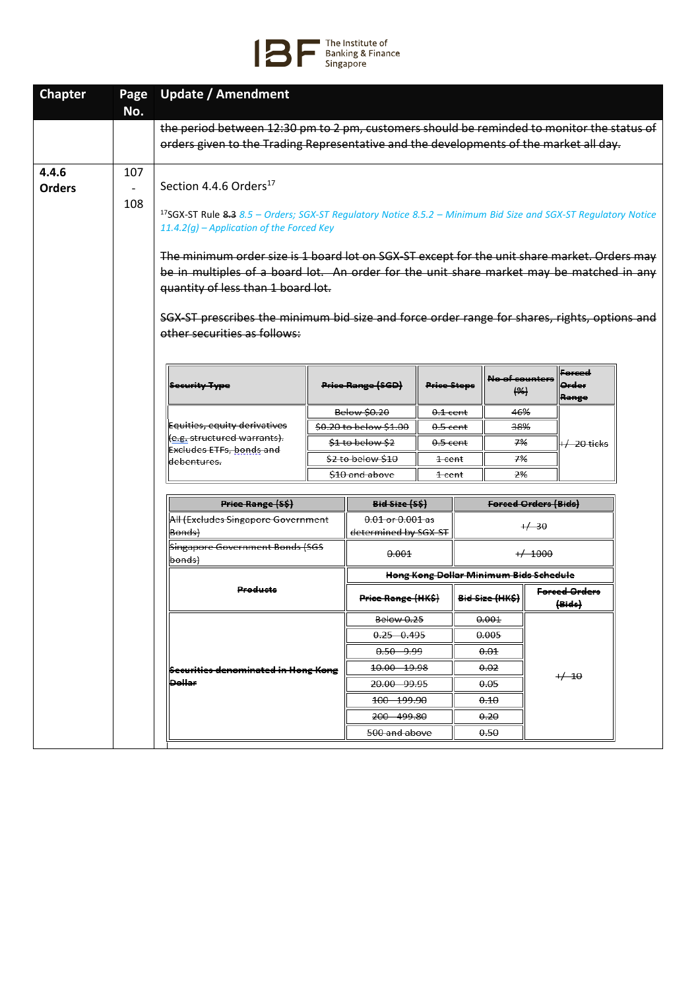## The Institute of<br>Banking & Finance<br>Singapore

| <b>Chapter</b>         | Page<br>No.                                                                                                                                                                                                                                                                                                                                                                                                                                                                                                                                                                                       | <b>Update / Amendment</b>                                                                  |  |                                              |                   |  |                                        |         |                          |  |
|------------------------|---------------------------------------------------------------------------------------------------------------------------------------------------------------------------------------------------------------------------------------------------------------------------------------------------------------------------------------------------------------------------------------------------------------------------------------------------------------------------------------------------------------------------------------------------------------------------------------------------|--------------------------------------------------------------------------------------------|--|----------------------------------------------|-------------------|--|----------------------------------------|---------|--------------------------|--|
|                        |                                                                                                                                                                                                                                                                                                                                                                                                                                                                                                                                                                                                   | the period between 12:30 pm to 2 pm, customers should be reminded to monitor the status of |  |                                              |                   |  |                                        |         |                          |  |
|                        |                                                                                                                                                                                                                                                                                                                                                                                                                                                                                                                                                                                                   | orders given to the Trading Representative and the developments of the market all day.     |  |                                              |                   |  |                                        |         |                          |  |
| 4.4.6<br><b>Orders</b> | 107<br>Section 4.4.6 Orders <sup>17</sup><br>108<br><sup>17</sup> SGX-ST Rule 8.3 $8.5$ – Orders; SGX-ST Regulatory Notice $8.5.2$ – Minimum Bid Size and SGX-ST Regulatory Notice<br>11.4.2(g) – Application of the Forced Key<br>The minimum order size is 1 board lot on SGX-ST except for the unit share market. Orders may<br>be in multiples of a board lot. An order for the unit share market may be matched in any<br>quantity of less than 1 board lot.<br>SGX-ST prescribes the minimum bid size and force order range for shares, rights, options and<br>other securities as follows: |                                                                                            |  |                                              |                   |  |                                        |         |                          |  |
|                        |                                                                                                                                                                                                                                                                                                                                                                                                                                                                                                                                                                                                   | <b>Security Type</b>                                                                       |  | <b>Price Range (SGD)</b>                     | Price Steps       |  | No of counters<br>( %)                 |         | Forced<br>Order<br>Range |  |
|                        |                                                                                                                                                                                                                                                                                                                                                                                                                                                                                                                                                                                                   |                                                                                            |  | <b>Below \$0.20</b>                          | $0.1$ cent        |  | 46%                                    |         |                          |  |
|                        |                                                                                                                                                                                                                                                                                                                                                                                                                                                                                                                                                                                                   | Equities, equity derivatives                                                               |  | \$0.20 to below \$1.00                       | $0.5$ cent        |  | 38%                                    |         |                          |  |
|                        |                                                                                                                                                                                                                                                                                                                                                                                                                                                                                                                                                                                                   | (e.g. structured warrants).<br><b>Excludes ETFs, bonds and</b>                             |  | \$1 to below \$2                             | $0.5$ cent        |  | 7%                                     |         | +/- 20 ticks             |  |
|                        |                                                                                                                                                                                                                                                                                                                                                                                                                                                                                                                                                                                                   | debentures.                                                                                |  | \$2 to below \$10                            | <del>1 cent</del> |  | 7%                                     |         |                          |  |
|                        |                                                                                                                                                                                                                                                                                                                                                                                                                                                                                                                                                                                                   |                                                                                            |  | \$10 and above                               | $1$ cent          |  | 2%                                     |         |                          |  |
|                        |                                                                                                                                                                                                                                                                                                                                                                                                                                                                                                                                                                                                   | Price Range (S\$)                                                                          |  | <del>Bid Size (S\$)</del>                    |                   |  | Forced Orders (Bids)                   |         |                          |  |
|                        |                                                                                                                                                                                                                                                                                                                                                                                                                                                                                                                                                                                                   | All (Excludes Singapore Government<br><del>Bonds)</del>                                    |  | $0.01$ or $0.001$ as<br>determined by SGX ST |                   |  |                                        | $+4.30$ |                          |  |
|                        |                                                                                                                                                                                                                                                                                                                                                                                                                                                                                                                                                                                                   | <b>Singapore Government Bonds (SGS</b><br><del>bonds)</del>                                |  | 0.001                                        | $+/ 1000$         |  |                                        |         |                          |  |
|                        |                                                                                                                                                                                                                                                                                                                                                                                                                                                                                                                                                                                                   |                                                                                            |  |                                              |                   |  | Hong Kong Dollar Minimum Bids Schedule |         |                          |  |
|                        |                                                                                                                                                                                                                                                                                                                                                                                                                                                                                                                                                                                                   | Products                                                                                   |  | <b>Price Range (HK\$)</b>                    |                   |  | Bid Size (HK\$)                        |         | Forced Orders<br>(Bide)  |  |
|                        |                                                                                                                                                                                                                                                                                                                                                                                                                                                                                                                                                                                                   |                                                                                            |  | <b>Below 0.25</b>                            |                   |  | 0.001                                  |         |                          |  |
|                        |                                                                                                                                                                                                                                                                                                                                                                                                                                                                                                                                                                                                   |                                                                                            |  | $0.25 - 0.495$                               |                   |  | 0.005                                  |         |                          |  |
|                        |                                                                                                                                                                                                                                                                                                                                                                                                                                                                                                                                                                                                   |                                                                                            |  | <del>0.50 9.99</del>                         |                   |  | 0.01                                   |         |                          |  |
|                        |                                                                                                                                                                                                                                                                                                                                                                                                                                                                                                                                                                                                   | Securities denominated in Hong Kong<br>عمللمها                                             |  | 10.00 19.98                                  |                   |  | <del>0.02</del>                        |         | $+40$                    |  |
|                        |                                                                                                                                                                                                                                                                                                                                                                                                                                                                                                                                                                                                   |                                                                                            |  | <del>20.00 99.95</del><br>100 199.90         |                   |  | 0.05<br>0.10                           |         |                          |  |
|                        |                                                                                                                                                                                                                                                                                                                                                                                                                                                                                                                                                                                                   |                                                                                            |  | 200 499.80                                   |                   |  | 0.20                                   |         |                          |  |
|                        |                                                                                                                                                                                                                                                                                                                                                                                                                                                                                                                                                                                                   |                                                                                            |  | <del>500 and above</del>                     |                   |  | 0.50                                   |         |                          |  |
|                        |                                                                                                                                                                                                                                                                                                                                                                                                                                                                                                                                                                                                   |                                                                                            |  |                                              |                   |  |                                        |         |                          |  |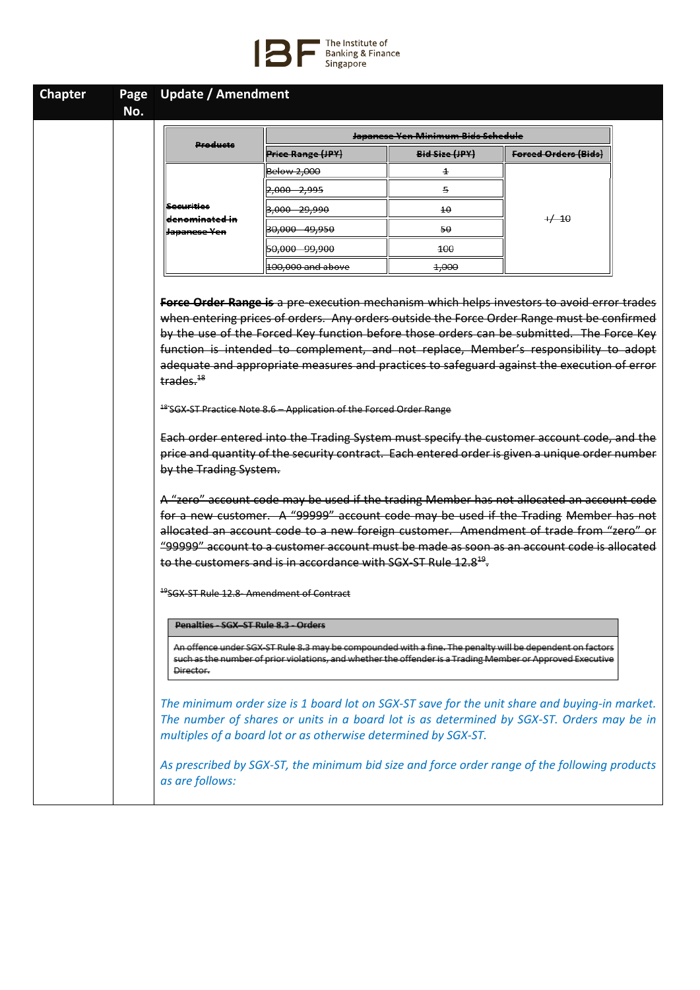

| No.                                       |                                                                                                                                                                                                                                                                                                                                                                               |                                               |                                                                                        |  |
|-------------------------------------------|-------------------------------------------------------------------------------------------------------------------------------------------------------------------------------------------------------------------------------------------------------------------------------------------------------------------------------------------------------------------------------|-----------------------------------------------|----------------------------------------------------------------------------------------|--|
|                                           |                                                                                                                                                                                                                                                                                                                                                                               | <del>Japanese Yen Minimum Bids Schedule</del> |                                                                                        |  |
| Products                                  | <b>Price Range (JPY)</b>                                                                                                                                                                                                                                                                                                                                                      | Bid Size (JPY)                                | Forced Orders (Bids)                                                                   |  |
|                                           | Below 2,000                                                                                                                                                                                                                                                                                                                                                                   | $\pm$                                         |                                                                                        |  |
|                                           | 2,000 2,995                                                                                                                                                                                                                                                                                                                                                                   | 5                                             |                                                                                        |  |
| Securities                                | <del>3,000 29,990</del>                                                                                                                                                                                                                                                                                                                                                       | $4\theta$                                     |                                                                                        |  |
| <del>denominated in</del><br>Japanese Yen | 30,000 49,950                                                                                                                                                                                                                                                                                                                                                                 | 50                                            | $+/-10$                                                                                |  |
|                                           | 50,000 99,900                                                                                                                                                                                                                                                                                                                                                                 | 100                                           |                                                                                        |  |
|                                           | 100,000 and above                                                                                                                                                                                                                                                                                                                                                             | 4,000                                         |                                                                                        |  |
| trades. <sup>18</sup>                     | adequate and appropriate measures and practices to safeguard against the execution of error<br><sup>48</sup> SGX ST Practice Note 8.6 - Application of the Forced Order Range<br>Each order entered into the Trading System must specify the customer account code, and the<br>price and quantity of the security contract. Each entered order is given a unique order number |                                               |                                                                                        |  |
| by the Trading System.                    | A "zero" account code may be used if the trading Member has not allocated an account code<br>for a new customer. A "99999" account code may be used if the Trading Member has not                                                                                                                                                                                             |                                               |                                                                                        |  |
|                                           |                                                                                                                                                                                                                                                                                                                                                                               |                                               |                                                                                        |  |
|                                           |                                                                                                                                                                                                                                                                                                                                                                               |                                               | allocated an account code to a new foreign customer. Amendment of trade from "zero" or |  |
|                                           | "99999" account to a customer account must be made as soon as an account code is allocated<br>to the customers and is in accordance with SGX-ST Rule 12.8 <sup>19</sup> .                                                                                                                                                                                                     |                                               |                                                                                        |  |
|                                           | <sup>19</sup> SGX ST Rule 12.8 Amendment of Contract<br>Penalties - SGX-ST Rule 8.3 - Orders                                                                                                                                                                                                                                                                                  |                                               |                                                                                        |  |
| Director.                                 | An offence under SGX-ST Rule 8.3 may be compounded with a fine. The penalty will be dependent on factors<br>such as the number of prior violations, and whether the offender is a Trading Member or Approved Executive                                                                                                                                                        |                                               |                                                                                        |  |
|                                           | The minimum order size is 1 board lot on SGX-ST save for the unit share and buying-in market.<br>The number of shares or units in a board lot is as determined by SGX-ST. Orders may be in<br>multiples of a board lot or as otherwise determined by SGX-ST.                                                                                                                  |                                               |                                                                                        |  |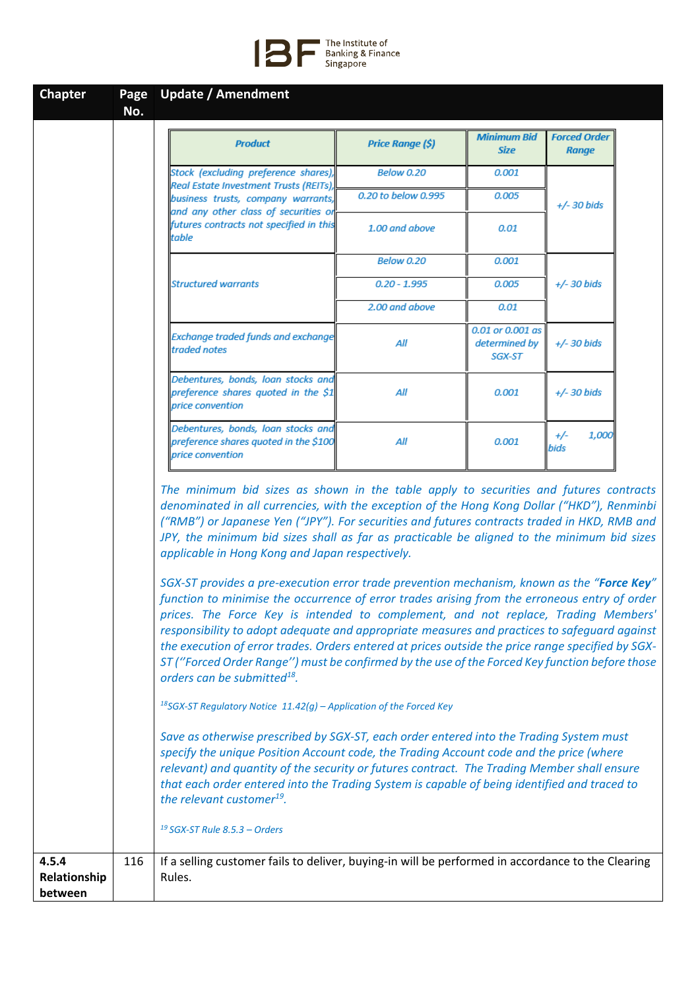

| <b>Chapter</b>                   | Page<br>No. | <b>Update / Amendment</b>                                                                                                                                                                                                                                                                                                                                                                                                                                                                                                                   |                         |                                             |                                     |  |
|----------------------------------|-------------|---------------------------------------------------------------------------------------------------------------------------------------------------------------------------------------------------------------------------------------------------------------------------------------------------------------------------------------------------------------------------------------------------------------------------------------------------------------------------------------------------------------------------------------------|-------------------------|---------------------------------------------|-------------------------------------|--|
|                                  |             | <b>Product</b>                                                                                                                                                                                                                                                                                                                                                                                                                                                                                                                              | <b>Price Range (\$)</b> | <b>Minimum Bid</b><br><b>Size</b>           | <b>Forced Order</b><br><b>Range</b> |  |
|                                  |             | Stock (excluding preference shares),                                                                                                                                                                                                                                                                                                                                                                                                                                                                                                        | <b>Below 0.20</b>       | 0.001                                       |                                     |  |
|                                  |             | Real Estate Investment Trusts (REITs),<br>business trusts, company warrants,                                                                                                                                                                                                                                                                                                                                                                                                                                                                | 0.20 to below 0.995     | 0.005                                       | $+/-$ 30 bids                       |  |
|                                  |             | and any other class of securities or<br>futures contracts not specified in this<br>table                                                                                                                                                                                                                                                                                                                                                                                                                                                    | 1.00 and above          | 0.01                                        |                                     |  |
|                                  |             |                                                                                                                                                                                                                                                                                                                                                                                                                                                                                                                                             | <b>Below 0.20</b>       | 0.001                                       |                                     |  |
|                                  |             | <b>Structured warrants</b>                                                                                                                                                                                                                                                                                                                                                                                                                                                                                                                  | $0.20 - 1.995$          | 0.005                                       | +/- 30 bids                         |  |
|                                  |             |                                                                                                                                                                                                                                                                                                                                                                                                                                                                                                                                             | 2.00 and above          | 0.01                                        |                                     |  |
|                                  |             | Exchange traded funds and exchange<br>traded notes                                                                                                                                                                                                                                                                                                                                                                                                                                                                                          | All                     | 0.01 or 0.001 as<br>determined by<br>SGX-ST | $+/- 30$ bids                       |  |
|                                  |             | Debentures, bonds, loan stocks and<br>preference shares quoted in the \$1<br>price convention                                                                                                                                                                                                                                                                                                                                                                                                                                               | All                     | 0.001                                       | $+/- 30$ bids                       |  |
|                                  |             | Debentures, bonds, loan stocks and<br>preference shares quoted in the \$100<br>price convention                                                                                                                                                                                                                                                                                                                                                                                                                                             | All                     | 0.001                                       | 1,000<br>$+/-$<br>bids              |  |
|                                  |             | denominated in all currencies, with the exception of the Hong Kong Dollar ("HKD"), Renminbi<br>("RMB") or Japanese Yen ("JPY"). For securities and futures contracts traded in HKD, RMB and<br>JPY, the minimum bid sizes shall as far as practicable be aligned to the minimum bid sizes<br>applicable in Hong Kong and Japan respectively.<br>SGX-ST provides a pre-execution error trade prevention mechanism, known as the "Force Key"<br>function to minimise the occurrence of error trades arising from the erroneous entry of order |                         |                                             |                                     |  |
|                                  |             | prices. The Force Key is intended to complement, and not replace, Trading Members'<br>responsibility to adopt adequate and appropriate measures and practices to safeguard against<br>the execution of error trades. Orders entered at prices outside the price range specified by SGX-<br>ST ("Forced Order Range") must be confirmed by the use of the Forced Key function before those<br>orders can be submitted <sup>18</sup> .                                                                                                        |                         |                                             |                                     |  |
|                                  |             | <sup>18</sup> SGX-ST Regulatory Notice $11.42(g)$ - Application of the Forced Key                                                                                                                                                                                                                                                                                                                                                                                                                                                           |                         |                                             |                                     |  |
|                                  |             | Save as otherwise prescribed by SGX-ST, each order entered into the Trading System must<br>specify the unique Position Account code, the Trading Account code and the price (where<br>relevant) and quantity of the security or futures contract. The Trading Member shall ensure<br>that each order entered into the Trading System is capable of being identified and traced to<br>the relevant customer <sup>19</sup> .                                                                                                                  |                         |                                             |                                     |  |
|                                  |             | $19$ SGX-ST Rule 8.5.3 - Orders                                                                                                                                                                                                                                                                                                                                                                                                                                                                                                             |                         |                                             |                                     |  |
| 4.5.4<br>Relationship<br>between | 116         | If a selling customer fails to deliver, buying-in will be performed in accordance to the Clearing<br>Rules.                                                                                                                                                                                                                                                                                                                                                                                                                                 |                         |                                             |                                     |  |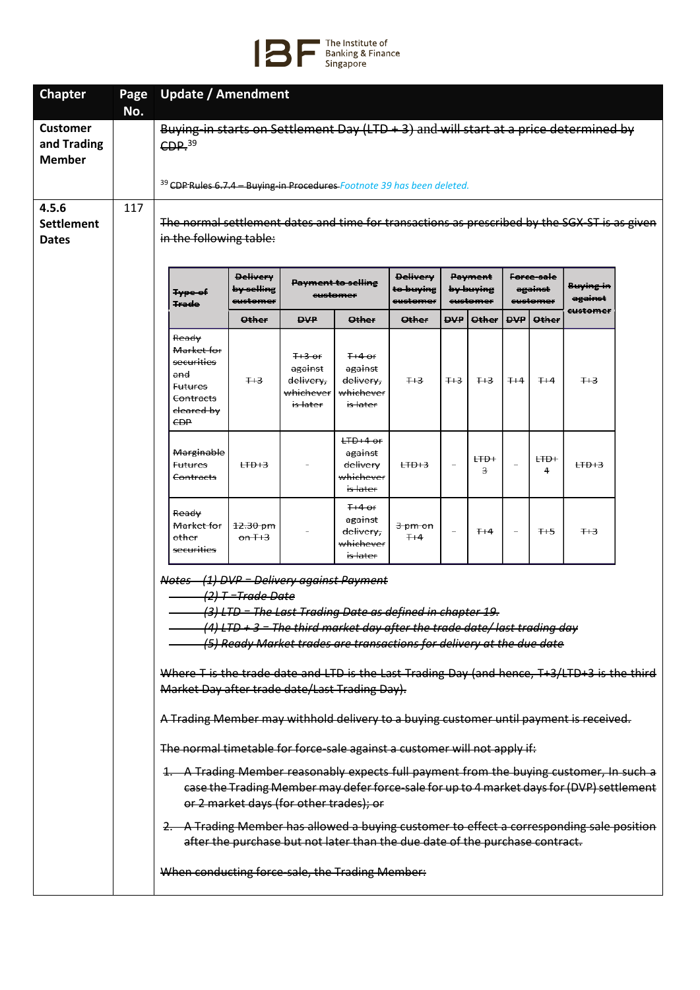

| No.<br>117 | CDP <sub>39</sub>                                                                                              |                                                                                        |                                                                     |                                                                     |                                                                                  |                                                                                                                                               |                       |                                                                                               |                     |                                                                                                                |                                                                                                                                                                                                                                                                                                                                                                                                                                                                                                                                                                                                                                                                                                                                                                                                                      |
|------------|----------------------------------------------------------------------------------------------------------------|----------------------------------------------------------------------------------------|---------------------------------------------------------------------|---------------------------------------------------------------------|----------------------------------------------------------------------------------|-----------------------------------------------------------------------------------------------------------------------------------------------|-----------------------|-----------------------------------------------------------------------------------------------|---------------------|----------------------------------------------------------------------------------------------------------------|----------------------------------------------------------------------------------------------------------------------------------------------------------------------------------------------------------------------------------------------------------------------------------------------------------------------------------------------------------------------------------------------------------------------------------------------------------------------------------------------------------------------------------------------------------------------------------------------------------------------------------------------------------------------------------------------------------------------------------------------------------------------------------------------------------------------|
|            |                                                                                                                |                                                                                        |                                                                     |                                                                     |                                                                                  |                                                                                                                                               |                       |                                                                                               |                     |                                                                                                                |                                                                                                                                                                                                                                                                                                                                                                                                                                                                                                                                                                                                                                                                                                                                                                                                                      |
|            |                                                                                                                | Buying-in starts on Settlement Day (LTD $+3$ ) and will start at a price determined by |                                                                     |                                                                     |                                                                                  |                                                                                                                                               |                       |                                                                                               |                     |                                                                                                                |                                                                                                                                                                                                                                                                                                                                                                                                                                                                                                                                                                                                                                                                                                                                                                                                                      |
|            | <sup>39</sup> CDP Rules 6.7.4 - Buying-in Procedures Footnote 39 has been deleted.                             |                                                                                        |                                                                     |                                                                     |                                                                                  |                                                                                                                                               |                       |                                                                                               |                     |                                                                                                                |                                                                                                                                                                                                                                                                                                                                                                                                                                                                                                                                                                                                                                                                                                                                                                                                                      |
|            |                                                                                                                | <b>Delivery</b>                                                                        |                                                                     |                                                                     | <b>Delivery</b>                                                                  |                                                                                                                                               |                       |                                                                                               |                     |                                                                                                                |                                                                                                                                                                                                                                                                                                                                                                                                                                                                                                                                                                                                                                                                                                                                                                                                                      |
|            | <b>Type of</b>                                                                                                 | <del>by selling</del><br>e <del>ustomer</del>                                          |                                                                     |                                                                     | <del>to buying</del><br>e <del>ustomer</del>                                     |                                                                                                                                               |                       |                                                                                               |                     | <del>Buying in</del><br>against                                                                                |                                                                                                                                                                                                                                                                                                                                                                                                                                                                                                                                                                                                                                                                                                                                                                                                                      |
|            |                                                                                                                | <b>Other</b>                                                                           | <b>DVP</b>                                                          | <b>Other</b>                                                        | <b>Other</b>                                                                     | avo.                                                                                                                                          | <b>Other</b>          | <b>QVP</b>                                                                                    | Other               | eustomer                                                                                                       |                                                                                                                                                                                                                                                                                                                                                                                                                                                                                                                                                                                                                                                                                                                                                                                                                      |
|            | Ready<br>Market for<br>securities<br>and<br><b>Futures</b><br>Contracts<br><del>cleared by</del><br><b>CDP</b> | $+3$                                                                                   | $H3$ or<br>against<br>delivery,<br>whichever<br><del>is later</del> | $H4$ or<br>against<br>delivery,<br>whichever<br><del>is later</del> | $+3$                                                                             | $+3$                                                                                                                                          | $H+3$                 | $+4$                                                                                          | $H+4$               | $+3$                                                                                                           |                                                                                                                                                                                                                                                                                                                                                                                                                                                                                                                                                                                                                                                                                                                                                                                                                      |
|            | Marginable<br><del>Futures</del><br>Contracts                                                                  | $LFD + 3$                                                                              |                                                                     | $H0+4$ or<br>against<br>delivery<br>whichever<br>is later           | $LFD + 3$                                                                        |                                                                                                                                               | $H\rightarrow +$<br>з |                                                                                               | $H\rightarrow$<br>4 | $LFD + 3$                                                                                                      |                                                                                                                                                                                                                                                                                                                                                                                                                                                                                                                                                                                                                                                                                                                                                                                                                      |
|            | <del>Ready</del><br>Market for<br>other<br>securities                                                          | 12.30 pm<br>$\theta$ n T+3                                                             |                                                                     | $H4$ or<br>against<br>delivery,<br>whichever<br>is later            | 3 pm on<br>$H + 4$                                                               | $\overline{\phantom{a}}$                                                                                                                      | $+4$                  | $\overline{\phantom{a}}$                                                                      | $H - 5$             | $+3$                                                                                                           |                                                                                                                                                                                                                                                                                                                                                                                                                                                                                                                                                                                                                                                                                                                                                                                                                      |
|            |                                                                                                                |                                                                                        |                                                                     |                                                                     |                                                                                  |                                                                                                                                               |                       |                                                                                               |                     |                                                                                                                |                                                                                                                                                                                                                                                                                                                                                                                                                                                                                                                                                                                                                                                                                                                                                                                                                      |
|            |                                                                                                                | <b>Trade</b>                                                                           | in the following table:                                             | (2) T = Trade Date                                                  | <b>Payment to selling</b><br>eustomer<br>or 2 market days (for other trades); or | Notes (1) DVP = Delivery against Payment<br>Market Day after trade date/Last Trading Day).<br>When conducting force-sale, the Trading Member: |                       | Payment<br>by buying<br>eustomer<br>(3) LTD = The Last Trading Date as defined in chapter 19. |                     | Force sale<br>against<br>eustomer<br>The normal timetable for force-sale against a customer will not apply if: | The normal settlement dates and time for transactions as prescribed by the SGX-ST is as given<br>$(4)$ LTD + 3 = The third market day after the trade date/ last trading day<br>(5) Ready Market trades are transactions for delivery at the due date<br>Where T is the trade date and LTD is the Last Trading Day (and hence, T+3/LTD+3 is the third<br>A Trading Member may withhold delivery to a buying customer until payment is received.<br>1. A Trading Member reasonably expects full payment from the buying customer, In such a<br>case the Trading Member may defer force-sale for up to 4 market days for (DVP) settlement<br>2. A Trading Member has allowed a buying customer to effect a corresponding sale position<br>after the purchase but not later than the due date of the purchase contract. |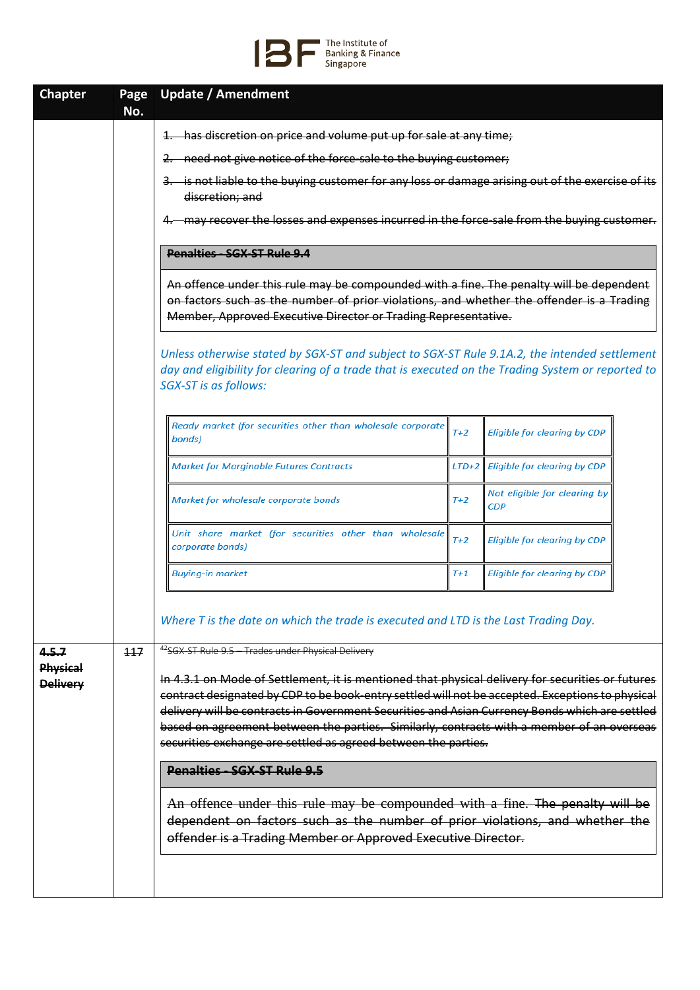## The Institute of<br>Banking & Finance<br>Singapore

| <b>Chapter</b>              | Page<br>No. | <b>Update / Amendment</b>                                                                                                                                                                                                                                                                                                                                                                                                                                             |         |                                     |  |  |  |  |  |  |
|-----------------------------|-------------|-----------------------------------------------------------------------------------------------------------------------------------------------------------------------------------------------------------------------------------------------------------------------------------------------------------------------------------------------------------------------------------------------------------------------------------------------------------------------|---------|-------------------------------------|--|--|--|--|--|--|
|                             |             | 1. has discretion on price and volume put up for sale at any time;                                                                                                                                                                                                                                                                                                                                                                                                    |         |                                     |  |  |  |  |  |  |
|                             |             | 2. need not give notice of the force-sale to the buying customer;                                                                                                                                                                                                                                                                                                                                                                                                     |         |                                     |  |  |  |  |  |  |
|                             |             | 3. is not liable to the buying customer for any loss or damage arising out of the exercise of its<br>discretion; and                                                                                                                                                                                                                                                                                                                                                  |         |                                     |  |  |  |  |  |  |
|                             |             | -may recover the losses and expenses incurred in the force-sale from the buying customer.                                                                                                                                                                                                                                                                                                                                                                             |         |                                     |  |  |  |  |  |  |
|                             |             | <b>Penalties - SGX-ST Rule 9.4</b>                                                                                                                                                                                                                                                                                                                                                                                                                                    |         |                                     |  |  |  |  |  |  |
|                             |             | An offence under this rule may be compounded with a fine. The penalty will be dependent<br>on factors such as the number of prior violations, and whether the offender is a Trading<br>Member, Approved Executive Director or Trading Representative.                                                                                                                                                                                                                 |         |                                     |  |  |  |  |  |  |
|                             |             | Unless otherwise stated by SGX-ST and subject to SGX-ST Rule 9.1A.2, the intended settlement<br>day and eligibility for clearing of a trade that is executed on the Trading System or reported to<br>SGX-ST is as follows:                                                                                                                                                                                                                                            |         |                                     |  |  |  |  |  |  |
|                             |             | Ready market (for securities other than wholesale corporate<br>bonds)                                                                                                                                                                                                                                                                                                                                                                                                 | $T+2$   | <b>Eligible for clearing by CDP</b> |  |  |  |  |  |  |
|                             |             | <b>Market for Marginable Futures Contracts</b>                                                                                                                                                                                                                                                                                                                                                                                                                        | $LTD+2$ | Eligible for clearing by CDP        |  |  |  |  |  |  |
|                             |             | Market for wholesale corporate bonds                                                                                                                                                                                                                                                                                                                                                                                                                                  | $T+2$   | Not eligible for clearing by<br>CDP |  |  |  |  |  |  |
|                             |             | Unit share market (for securities other than wholesale<br>corporate bonds)                                                                                                                                                                                                                                                                                                                                                                                            | $T+2$   | <b>Eligible for clearing by CDP</b> |  |  |  |  |  |  |
|                             |             | <b>Buying-in market</b>                                                                                                                                                                                                                                                                                                                                                                                                                                               | T+1     | Eligible for clearing by CDP        |  |  |  |  |  |  |
|                             |             | Where T is the date on which the trade is executed and LTD is the Last Trading Day.                                                                                                                                                                                                                                                                                                                                                                                   |         |                                     |  |  |  |  |  |  |
| 4.5.7                       | 117         | 42SGX-ST Rule 9.5 - Trades under Physical Delivery                                                                                                                                                                                                                                                                                                                                                                                                                    |         |                                     |  |  |  |  |  |  |
| Physical<br><b>Delivery</b> |             | In 4.3.1 on Mode of Settlement, it is mentioned that physical delivery for securities or futures<br>contract designated by CDP to be book-entry settled will not be accepted. Exceptions to physical<br>delivery will be contracts in Government Securities and Asian Currency Bonds which are settled<br>based on agreement between the parties. Similarly, contracts with a member of an overseas<br>securities exchange are settled as agreed between the parties. |         |                                     |  |  |  |  |  |  |
|                             |             | Penalties - SGX-ST Rule 9.5                                                                                                                                                                                                                                                                                                                                                                                                                                           |         |                                     |  |  |  |  |  |  |
|                             |             | An offence under this rule may be compounded with a fine. The penalty will be<br>dependent on factors such as the number of prior violations, and whether the<br>offender is a Trading Member or Approved Executive Director.                                                                                                                                                                                                                                         |         |                                     |  |  |  |  |  |  |
|                             |             |                                                                                                                                                                                                                                                                                                                                                                                                                                                                       |         |                                     |  |  |  |  |  |  |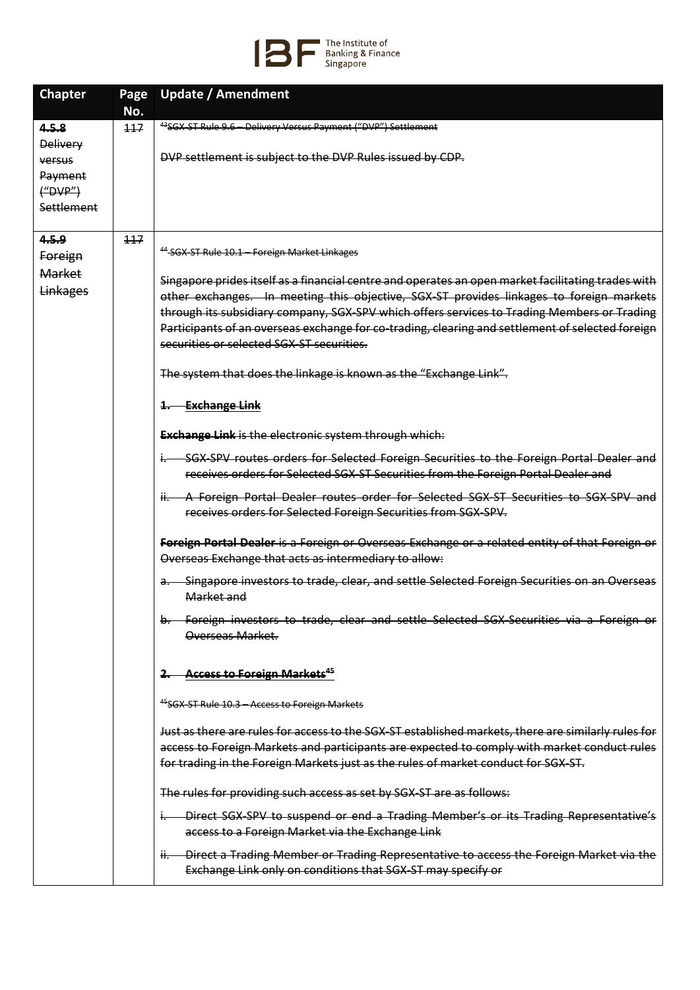

| <b>Chapter</b><br>Page                                                              | <b>Update / Amendment</b>                                                                                                                                                                                                                                                                                                                                                                                                                                                                                                                                                                                                                                                                                                                                                                                                                                                                                                                                                                                                                                                                                                                                                                                                                                                                                                                                                                                                                                                                                                                                                                                                                                                                                                                                                                                                                                                                                                                                                                                                                                                                                                                                                                                                    |
|-------------------------------------------------------------------------------------|------------------------------------------------------------------------------------------------------------------------------------------------------------------------------------------------------------------------------------------------------------------------------------------------------------------------------------------------------------------------------------------------------------------------------------------------------------------------------------------------------------------------------------------------------------------------------------------------------------------------------------------------------------------------------------------------------------------------------------------------------------------------------------------------------------------------------------------------------------------------------------------------------------------------------------------------------------------------------------------------------------------------------------------------------------------------------------------------------------------------------------------------------------------------------------------------------------------------------------------------------------------------------------------------------------------------------------------------------------------------------------------------------------------------------------------------------------------------------------------------------------------------------------------------------------------------------------------------------------------------------------------------------------------------------------------------------------------------------------------------------------------------------------------------------------------------------------------------------------------------------------------------------------------------------------------------------------------------------------------------------------------------------------------------------------------------------------------------------------------------------------------------------------------------------------------------------------------------------|
| No.                                                                                 |                                                                                                                                                                                                                                                                                                                                                                                                                                                                                                                                                                                                                                                                                                                                                                                                                                                                                                                                                                                                                                                                                                                                                                                                                                                                                                                                                                                                                                                                                                                                                                                                                                                                                                                                                                                                                                                                                                                                                                                                                                                                                                                                                                                                                              |
| 4.5.8<br>117<br><b>Delivery</b><br>versus<br>Payment<br>$($ "DVP" $)$<br>Settlement | <sup>43</sup> SGX-ST Rule 9.6 - Delivery Versus Payment ("DVP") Settlement<br>DVP settlement is subject to the DVP Rules issued by CDP.                                                                                                                                                                                                                                                                                                                                                                                                                                                                                                                                                                                                                                                                                                                                                                                                                                                                                                                                                                                                                                                                                                                                                                                                                                                                                                                                                                                                                                                                                                                                                                                                                                                                                                                                                                                                                                                                                                                                                                                                                                                                                      |
| 4.5.9<br>117<br>Foreign<br><b>Market</b><br>Linkages                                | <sup>44</sup> -SGX-ST Rule 10.1 - Foreign Market Linkages<br>Singapore prides itself as a financial centre and operates an open market facilitating trades with<br>other exchanges. In meeting this objective, SGX-ST provides linkages to foreign markets<br>through its subsidiary company, SGX-SPV which offers services to Trading Members or Trading<br>Participants of an overseas exchange for co-trading, clearing and settlement of selected foreign<br>securities or selected SGX-ST securities.<br>The system that does the linkage is known as the "Exchange Link".<br>1. Exchange Link<br><b>Exchange Link</b> is the electronic system through which:<br>SGX-SPV routes orders for Selected Foreign Securities to the Foreign Portal Dealer and<br>$\mathsf{L}$<br>receives orders for Selected SGX ST Securities from the Foreign Portal Dealer and<br>ii. A Foreign Portal Dealer routes order for Selected SGX-ST Securities to SGX-SPV and<br>receives orders for Selected Foreign Securities from SGX-SPV.<br>Foreign Portal Dealer is a Foreign or Overseas Exchange or a related entity of that Foreign or<br>Overseas Exchange that acts as intermediary to allow:<br>Singapore investors to trade, clear, and settle Selected Foreign Securities on an Overseas<br>a.-<br>Market and<br>b. Foreign investors to trade, clear and settle Selected SGX-Securities via a Foreign or<br>Overseas Market.<br><b>Access to Foreign Markets<sup>45</sup></b><br>2.<br><sup>45</sup> SGX-ST Rule 10.3 - Access to Foreign Markets<br>Just as there are rules for access to the SGX-ST established markets, there are similarly rules for<br>access to Foreign Markets and participants are expected to comply with market conduct rules<br>for trading in the Foreign Markets just as the rules of market conduct for SGX-ST.<br>The rules for providing such access as set by SGX-ST are as follows:<br>Direct SGX SPV to suspend or end a Trading Member's or its Trading Representative's<br>access to a Foreign Market via the Exchange Link<br>ii. Direct a Trading Member or Trading Representative to access the Foreign Market via the<br>Exchange Link only on conditions that SGX-ST may specify or |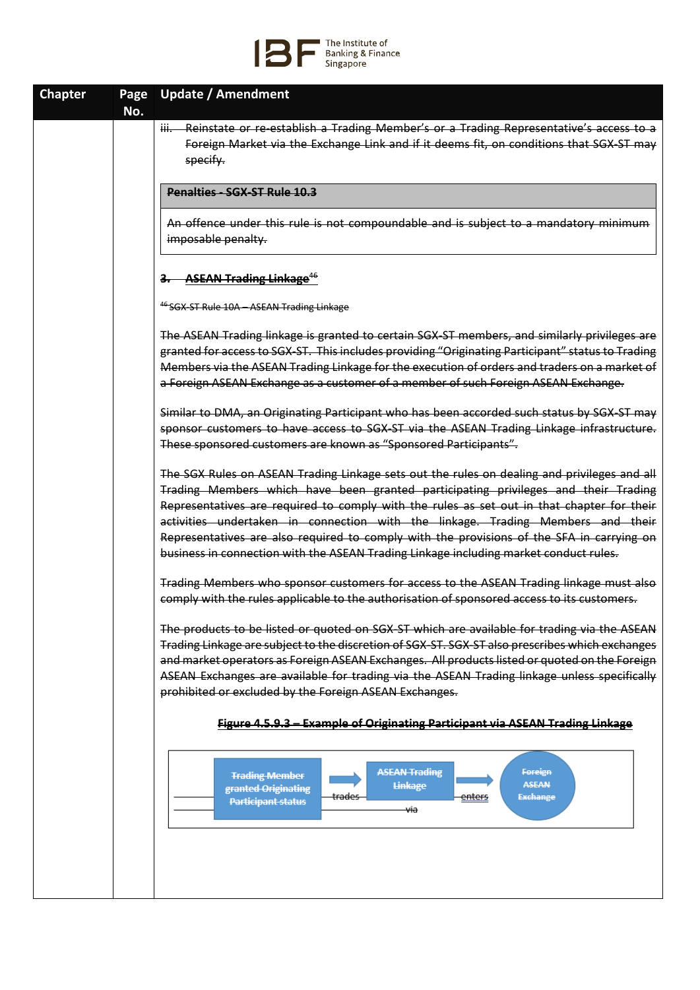

| <b>Chapter</b> | Page | <b>Update / Amendment</b>                                                                                                                                                                    |
|----------------|------|----------------------------------------------------------------------------------------------------------------------------------------------------------------------------------------------|
|                | No.  |                                                                                                                                                                                              |
|                |      | iii. Reinstate or re-establish a Trading Member's or a Trading Representative's access to a                                                                                                  |
|                |      | Foreign Market via the Exchange Link and if it deems fit, on conditions that SGX-ST may                                                                                                      |
|                |      | specify.                                                                                                                                                                                     |
|                |      | Penalties SGX ST Rule 10.3                                                                                                                                                                   |
|                |      | An offence under this rule is not compoundable and is subject to a mandatory minimum                                                                                                         |
|                |      | imposable penalty.                                                                                                                                                                           |
|                |      |                                                                                                                                                                                              |
|                |      | <b>ASEAN Trading Linkage<sup>46</sup></b>                                                                                                                                                    |
|                |      | <sup>46</sup> SGX-ST Rule 10A - ASEAN Trading Linkage                                                                                                                                        |
|                |      | The ASEAN Trading linkage is granted to certain SGX-ST members, and similarly privileges are                                                                                                 |
|                |      | granted for access to SGX-ST. This includes providing "Originating Participant" status to Trading                                                                                            |
|                |      | Members via the ASEAN Trading Linkage for the execution of orders and traders on a market of                                                                                                 |
|                |      | a Foreign ASEAN Exchange as a customer of a member of such Foreign ASEAN Exchange.                                                                                                           |
|                |      | Similar to DMA, an Originating Participant who has been accorded such status by SGX-ST may                                                                                                   |
|                |      | sponsor customers to have access to SGX-ST via the ASEAN Trading Linkage infrastructure.                                                                                                     |
|                |      | These sponsored customers are known as "Sponsored Participants".                                                                                                                             |
|                |      | The SGX Rules on ASEAN Trading Linkage sets out the rules on dealing and privileges and all                                                                                                  |
|                |      | Trading Members which have been granted participating privileges and their Trading                                                                                                           |
|                |      | Representatives are required to comply with the rules as set out in that chapter for their                                                                                                   |
|                |      | activities undertaken in connection with the linkage. Trading Members and their<br>Representatives are also required to comply with the provisions of the SFA in carrying on                 |
|                |      | business in connection with the ASEAN Trading Linkage including market conduct rules.                                                                                                        |
|                |      |                                                                                                                                                                                              |
|                |      | Trading Members who sponsor customers for access to the ASEAN Trading linkage must also<br>comply with the rules applicable to the authorisation of sponsored access to its customers.       |
|                |      |                                                                                                                                                                                              |
|                |      | The products to be listed or quoted on SGX-ST which are available for trading via the ASEAN                                                                                                  |
|                |      | Trading Linkage are subject to the discretion of SGX ST. SGX ST also prescribes which exchanges                                                                                              |
|                |      | and market operators as Foreign ASEAN Exchanges. All products listed or quoted on the Foreign<br>ASEAN Exchanges are available for trading via the ASEAN Trading linkage unless specifically |
|                |      | prohibited or excluded by the Foreign ASEAN Exchanges.                                                                                                                                       |
|                |      |                                                                                                                                                                                              |
|                |      | Figure 4.5.9.3 – Example of Originating Participant via ASEAN Trading Linkage                                                                                                                |
|                |      |                                                                                                                                                                                              |
|                |      | <b>ASEAN Trading</b><br>Foreign<br><b>Trading Member</b>                                                                                                                                     |
|                |      | <b>ASEAN</b><br><b>Linkage</b><br>granted Originating<br><del>trades</del><br><b>Exchange</b><br><u>enters</u>                                                                               |
|                |      | <b>Participant status</b><br>₩ia                                                                                                                                                             |
|                |      |                                                                                                                                                                                              |
|                |      |                                                                                                                                                                                              |
|                |      |                                                                                                                                                                                              |
|                |      |                                                                                                                                                                                              |
|                |      |                                                                                                                                                                                              |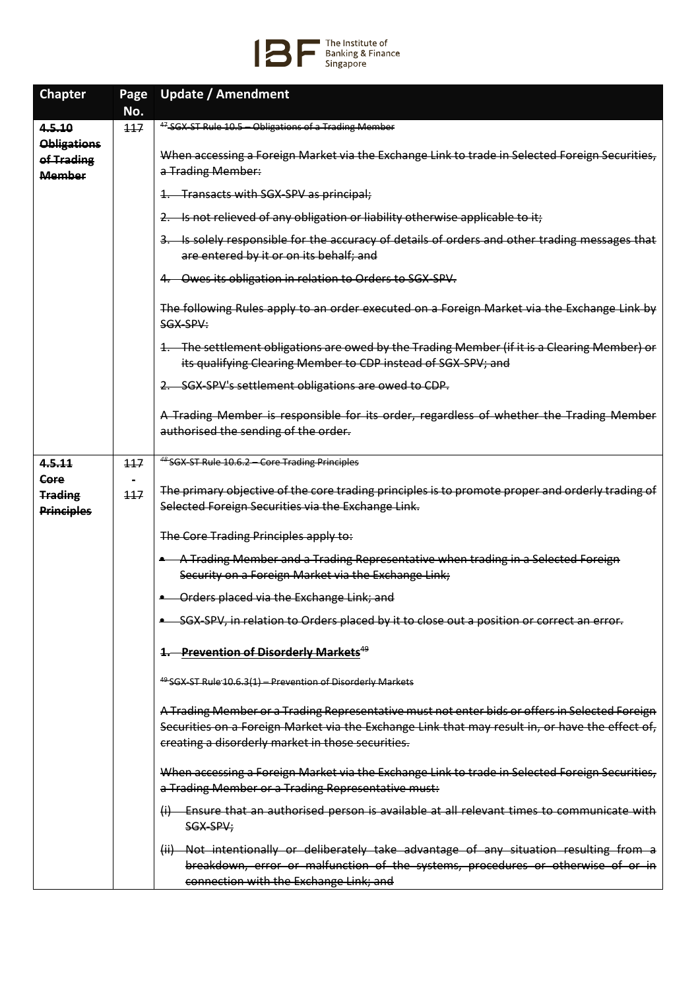

| <b>Chapter</b>                                    | Page | <b>Update / Amendment</b>                                                                                                                                                                                                                              |
|---------------------------------------------------|------|--------------------------------------------------------------------------------------------------------------------------------------------------------------------------------------------------------------------------------------------------------|
|                                                   | No.  |                                                                                                                                                                                                                                                        |
| 4.5.10                                            | 117  | <sup>47</sup> SGX-ST Rule 10.5 - Obligations of a Trading Member                                                                                                                                                                                       |
| <b>Obligations</b><br>of Trading<br><b>Member</b> |      | When accessing a Foreign Market via the Exchange Link to trade in Selected Foreign Securities,<br>a Trading Member:                                                                                                                                    |
|                                                   |      | 1. Transacts with SGX-SPV as principal;                                                                                                                                                                                                                |
|                                                   |      | 2. Is not relieved of any obligation or liability otherwise applicable to it;                                                                                                                                                                          |
|                                                   |      | 3. Is solely responsible for the accuracy of details of orders and other trading messages that<br>are entered by it or on its behalf; and                                                                                                              |
|                                                   |      | 4. Owes its obligation in relation to Orders to SGX-SPV.                                                                                                                                                                                               |
|                                                   |      | The following Rules apply to an order executed on a Foreign Market via the Exchange Link by<br>SGX-SPV:                                                                                                                                                |
|                                                   |      | 1. The settlement obligations are owed by the Trading Member (if it is a Clearing Member) or<br>its qualifying Clearing Member to CDP instead of SGX-SPV; and                                                                                          |
|                                                   |      | 2. SGX-SPV's settlement obligations are owed to CDP.                                                                                                                                                                                                   |
|                                                   |      | A Trading Member is responsible for its order, regardless of whether the Trading Member<br>authorised the sending of the order.                                                                                                                        |
| 4.5.11                                            | 117  | <sup>48</sup> SGX-ST Rule 10.6.2 - Core Trading Principles                                                                                                                                                                                             |
| Core<br><b>Trading</b><br><b>Principles</b>       | 117  | The primary objective of the core trading principles is to promote proper and orderly trading of<br>Selected Foreign Securities via the Exchange Link.                                                                                                 |
|                                                   |      | The Core Trading Principles apply to:                                                                                                                                                                                                                  |
|                                                   |      | A Trading Member and a Trading Representative when trading in a Selected Foreign<br>Security on a Foreign Market via the Exchange Link;                                                                                                                |
|                                                   |      | Orders placed via the Exchange Link; and                                                                                                                                                                                                               |
|                                                   |      | . SGX-SPV, in relation to Orders placed by it to close out a position or correct an error.                                                                                                                                                             |
|                                                   |      | 1. Prevention of Disorderly Markets <sup>49</sup>                                                                                                                                                                                                      |
|                                                   |      | <sup>49</sup> SGX-ST Rule 10.6.3(1) - Prevention of Disorderly Markets                                                                                                                                                                                 |
|                                                   |      | A Trading Member or a Trading Representative must not enter bids or offers in Selected Foreign<br>Securities on a Foreign Market via the Exchange Link that may result in, or have the effect of,<br>creating a disorderly market in those securities. |
|                                                   |      | When accessing a Foreign Market via the Exchange Link to trade in Selected Foreign Securities,<br>a Trading Member or a Trading Representative must:                                                                                                   |
|                                                   |      | (i) Ensure that an authorised person is available at all relevant times to communicate with<br>SGX-SPV;                                                                                                                                                |
|                                                   |      | (ii) Not intentionally or deliberately take advantage of any situation resulting from a<br>breakdown, error or malfunction of the systems, procedures or otherwise of or in<br>connection with the Exchange Link; and                                  |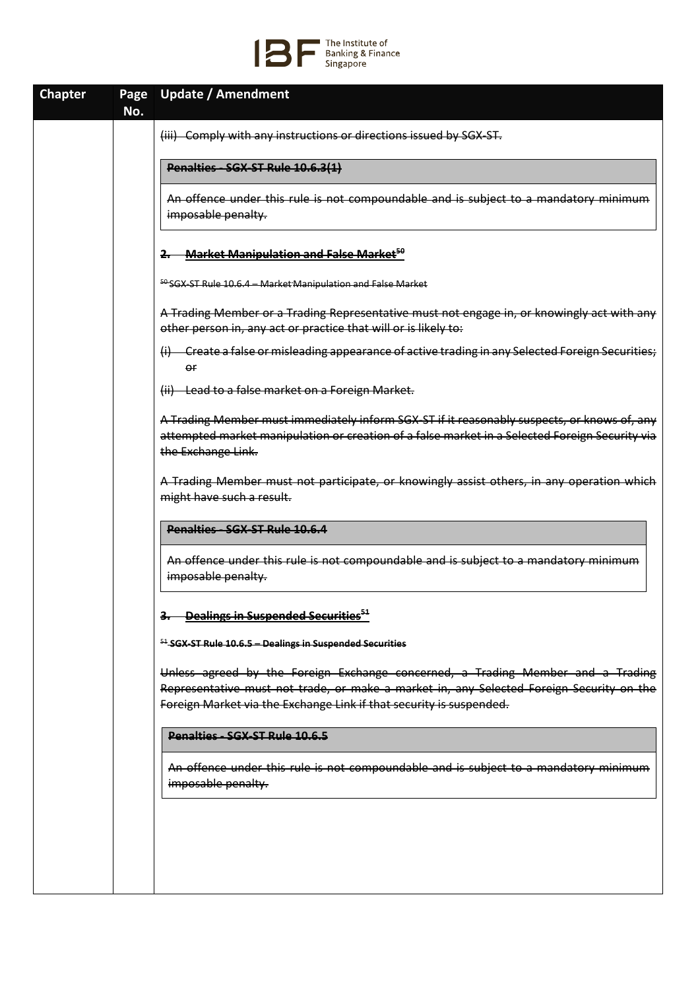

| <b>Chapter</b> | Page<br>No. | Update / Amendment                                                                                                                                                                                                                                 |
|----------------|-------------|----------------------------------------------------------------------------------------------------------------------------------------------------------------------------------------------------------------------------------------------------|
|                |             | (iii) Comply with any instructions or directions issued by SGX-ST.                                                                                                                                                                                 |
|                |             | Penalties SGX ST Rule 10.6.3(1)                                                                                                                                                                                                                    |
|                |             | An offence under this rule is not compoundable and is subject to a mandatory minimum<br>imposable penalty.                                                                                                                                         |
|                |             | <b>Market Manipulation and False Market<sup>50</sup></b><br>2.                                                                                                                                                                                     |
|                |             | 50 SGX-ST Rule 10.6.4 - Market Manipulation and False Market                                                                                                                                                                                       |
|                |             | A Trading Member or a Trading Representative must not engage in, or knowingly act with any<br>other person in, any act or practice that will or is likely to:                                                                                      |
|                |             | (i) Create a false or misleading appearance of active trading in any Selected Foreign Securities;<br>or                                                                                                                                            |
|                |             | (ii) Lead to a false market on a Foreign Market.                                                                                                                                                                                                   |
|                |             | A Trading Member must immediately inform SGX-ST if it reasonably suspects, or knows of, any<br>attempted market manipulation or creation of a false market in a Selected Foreign Security via<br>the Exchange Link.                                |
|                |             | A Trading Member must not participate, or knowingly assist others, in any operation which<br>might have such a result.                                                                                                                             |
|                |             | Penalties - SGX-ST Rule 10.6.4                                                                                                                                                                                                                     |
|                |             | An offence under this rule is not compoundable and is subject to a mandatory minimum<br>imposable penalty.                                                                                                                                         |
|                |             | 3. Dealings in Suspended Securities <sup>51</sup>                                                                                                                                                                                                  |
|                |             | <sup>51</sup> SGX ST Rule 10.6.5 - Dealings in Suspended Securities                                                                                                                                                                                |
|                |             | Unless agreed by the Foreign Exchange concerned, a Trading Member and a Trading<br>Representative must not trade, or make a market in, any Selected Foreign Security on the<br>Foreign Market via the Exchange Link if that security is suspended. |
|                |             | Penalties SGX ST Rule 10.6.5                                                                                                                                                                                                                       |
|                |             | An offence under this rule is not compoundable and is subject to a mandatory minimum<br>imposable penalty.                                                                                                                                         |
|                |             |                                                                                                                                                                                                                                                    |
|                |             |                                                                                                                                                                                                                                                    |
|                |             |                                                                                                                                                                                                                                                    |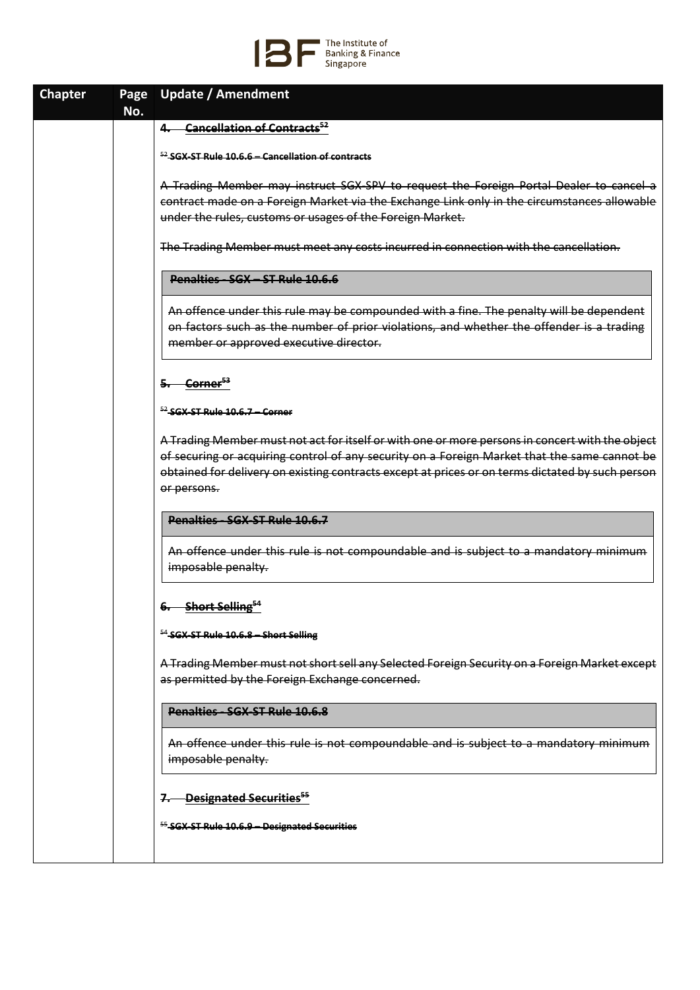

| <b>Chapter</b> | Page | <b>Update / Amendment</b>                                                                                  |
|----------------|------|------------------------------------------------------------------------------------------------------------|
|                | No.  |                                                                                                            |
|                |      | <b>Cancellation of Contracts</b> <sup>52</sup>                                                             |
|                |      | $52$ SGX ST Rule 10.6.6 – Cancellation of contracts                                                        |
|                |      | A Trading Member may instruct SGX-SPV to request the Foreign Portal Dealer to cancel a                     |
|                |      | contract made on a Foreign Market via the Exchange Link only in the circumstances allowable                |
|                |      | under the rules, customs or usages of the Foreign Market.                                                  |
|                |      |                                                                                                            |
|                |      | The Trading Member must meet any costs incurred in connection with the cancellation.                       |
|                |      | Penalties SGX - ST Rule 10.6.6                                                                             |
|                |      | An offence under this rule may be compounded with a fine. The penalty will be dependent                    |
|                |      | on factors such as the number of prior violations, and whether the offender is a trading                   |
|                |      | member or approved executive director.                                                                     |
|                |      |                                                                                                            |
|                |      | Corner <sup>53</sup>                                                                                       |
|                |      | $52$ SGX-ST Rule 10.6.7 – Corner                                                                           |
|                |      | A Trading Member must not act for itself or with one or more persons in concert with the object            |
|                |      | of securing or acquiring control of any security on a Foreign Market that the same cannot be               |
|                |      | obtained for delivery on existing contracts except at prices or on terms dictated by such person           |
|                |      | or persons.                                                                                                |
|                |      | Penalties - SGX-ST Rule 10.6.7                                                                             |
|                |      | An offence under this rule is not compoundable and is subject to a mandatory minimum<br>imposable penalty. |
|                |      |                                                                                                            |
|                |      | 6. Short Selling <sup>54</sup>                                                                             |
|                |      | <sup>54</sup> SGX-ST Rule 10.6.8 - Short Selling                                                           |
|                |      | A Trading Member must not short sell any Selected Foreign Security on a Foreign Market except              |
|                |      | as permitted by the Foreign Exchange concerned.                                                            |
|                |      | Penalties SGX ST Rule 10.6.8                                                                               |
|                |      | An offence under this rule is not compoundable and is subject to a mandatory minimum                       |
|                |      | imposable penalty.                                                                                         |
|                |      | <b>-Designated Securities<sup>55</sup></b>                                                                 |
|                |      | <sup>55</sup> -SGX-ST-Rule 10.6.9 - Designated Securities                                                  |
|                |      |                                                                                                            |